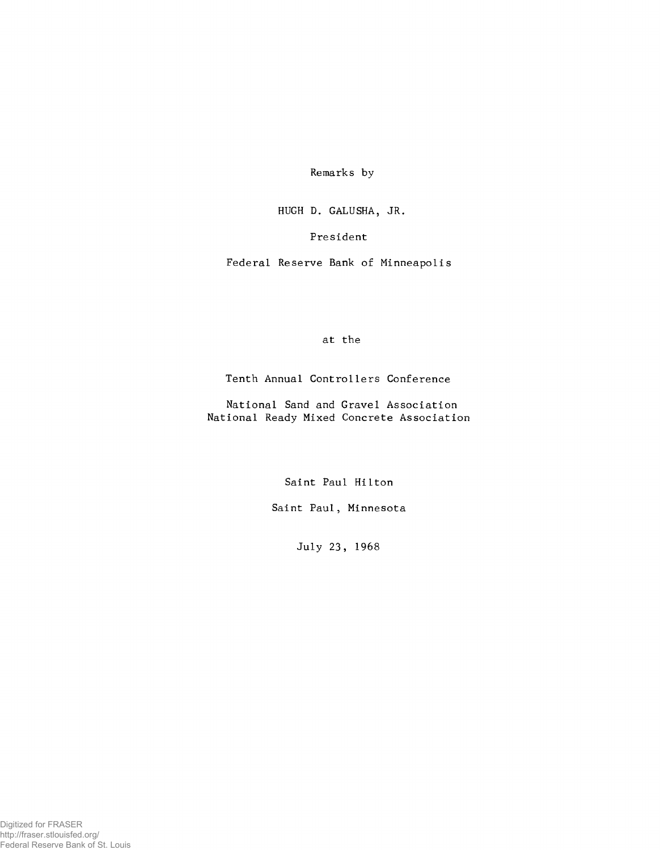Remarks by

HUGH D. GALUSHA, JR.

President

Federal Reserve Bank of Minneapolis

at the

Tenth Annual Controllers Conference

National Sand and Gravel Association National Ready Mixed Concrete Association

Saint Paul Hilton

Saint Paul, Minnesota

July 23, 1968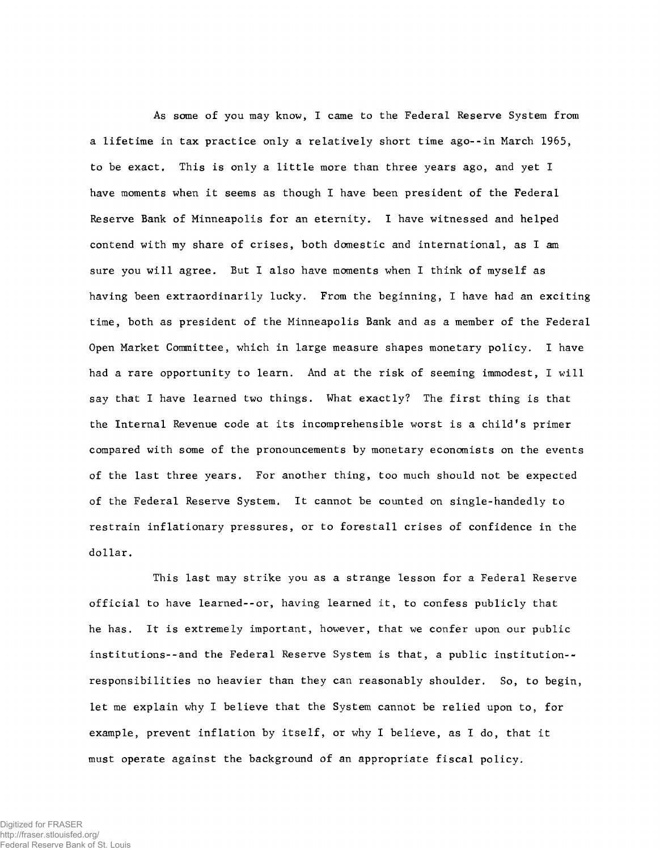As some of you may know, I came to the Federal Reserve System from a lifetime in tax practice only a relatively short time ago--in March 1965, to be exact. This is only a little more than three years ago, and yet I have moments when it seems as though I have been president of the Federal Reserve Bank of Minneapolis for an eternity. I have witnessed and helped contend with my share of crises, both domestic and international, as I am sure you will agree. But I also have moments when I think of myself as having been extraordinarily lucky. From the beginning, I have had an exciting time, both as president of the Minneapolis Bank and as a member of the Federal Open Market Committee, which in large measure shapes monetary policy. I have had a rare opportunity to learn. And at the risk of seeming immodest, I will say that I have learned two things. What exactly? The first thing is that the Internal Revenue code at its incomprehensible worst is a child's primer compared with some of the pronouncements by monetary economists on the events of the last three years. For another thing, too much should not be expected of the Federal Reserve System. It cannot be counted on single-handedly to restrain inflationary pressures, or to forestall crises of confidence in the dollar.

This last may strike you as a strange lesson for a Federal Reserve official to have learned--or, having learned it, to confess publicly that he has. It is extremely important, however, that we confer upon our public institutions--and the Federal Reserve System is that, a public institution- responsibilities no heavier than they can reasonably shoulder. So, to begin, let me explain why I believe that the System cannot be relied upon to, for example, prevent inflation by itself, or why I believe, as I do, that it must operate against the background of an appropriate fiscal policy.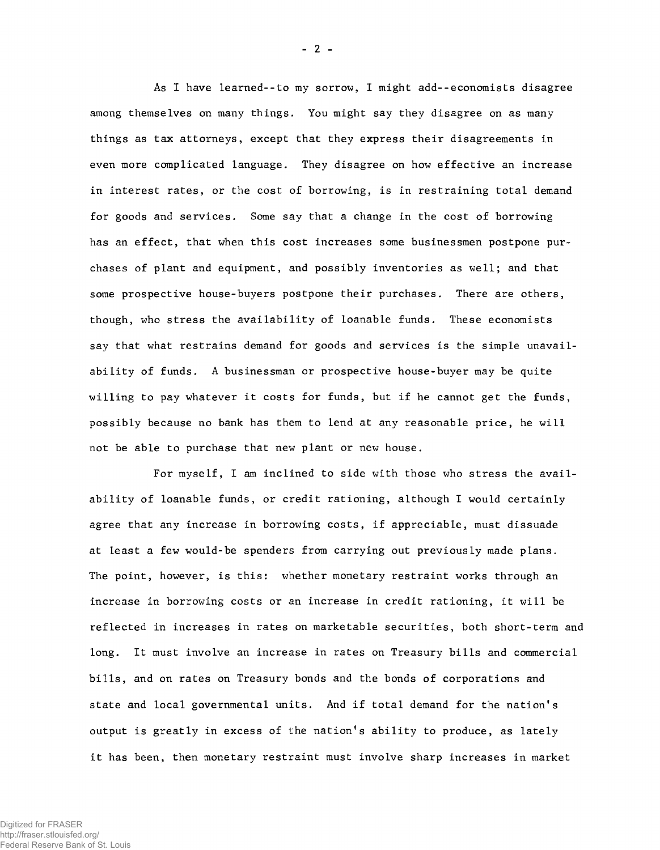As I have learned--to my sorrow, I might add--economists disagree among themselves on many things. You might say they disagree on as many things as tax attorneys, except that they express their disagreements in even more complicated language. They disagree on how effective an increase in interest rates, or the cost of borrowing, is in restraining total demand for goods and services. Some say that a change in the cost of borrowing has an effect, that when this cost increases some businessmen postpone purchases of plant and equipment, and possibly inventories as well; and that some prospective house-buyers postpone their purchases. There are others, though, who stress the availability of loanable funds. These economists say that what restrains demand for goods and services is the simple unavailability of funds. A businessman or prospective house-buyer may be quite willing to pay whatever it costs for funds, but if he cannot get the funds, possibly because no bank has them to lend at any reasonable price, he will not be able to purchase that new plant or new house.

For myself, I am inclined to side with those who stress the availability of loanable funds, or credit rationing, although I would certainly agree that any increase in borrowing costs, if appreciable, must dissuade at least a few would-be spenders from carrying out previously made plans. The point, however, is this: whether monetary restraint works through an increase in borrowing costs or an increase in credit rationing, it will be reflected in increases in rates on marketable securities, both short-term and long. It must involve an increase in rates on Treasury bills and commercial bills, and on rates on Treasury bonds and the bonds of corporations and state and local governmental units. And if total demand for the nation's output is greatly in excess of the nation's ability to produce, as lately it has been, then monetary restraint must involve sharp increases in market

 $- 2 -$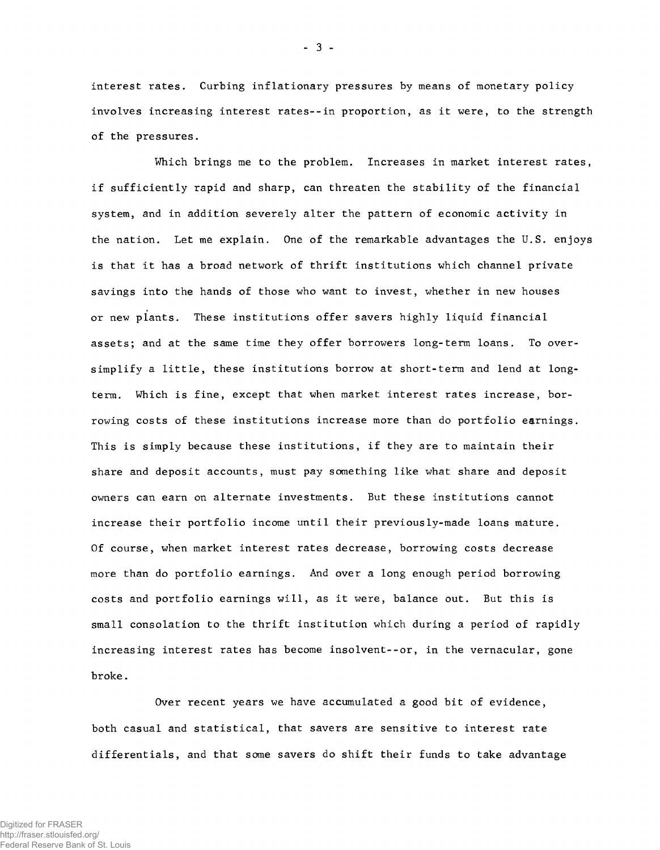interest rates. Curbing inflationary pressures by means of monetary policy involves increasing interest rates--in proportion, as it were, to the strength of the pressures.

Which brings me to the problem. Increases in market interest rates, if sufficiently rapid and sharp, can threaten the stability of the financial system, and in addition severely alter the pattern of economic activity in the nation. Let me explain. One of the remarkable advantages the U.S. enjoys is that it has a broad network of thrift institutions which channel private savings into the hands of those who want to invest, whether in new houses or new plants. These institutions offer savers highly liquid financial assets; and at the same time they offer borrowers long-term loans. To oversimplify a little, these institutions borrow at short-term and lend at longterm. Which is fine, except that when market interest rates increase, borrowing costs of these institutions increase more than do portfolio earnings. This is simply because these institutions, if they are to maintain their share and deposit accounts, must pay something like what share and deposit owners can earn on alternate investments. But these institutions cannot increase their portfolio income until their previously-made loans mature. Of course, when market interest rates decrease, borrowing costs decrease more than do portfolio earnings. And over a long enough period borrowing costs and portfolio earnings will, as it were, balance out. But this is small consolation to the thrift institution which during a period of rapidly increasing interest rates has become insolvent--or, in the vernacular, gone broke.

Over recent years we have accumulated a good bit of evidence, both casual and statistical, that savers are sensitive to interest rate differentials, and that some savers do shift their funds to take advantage

• 3 -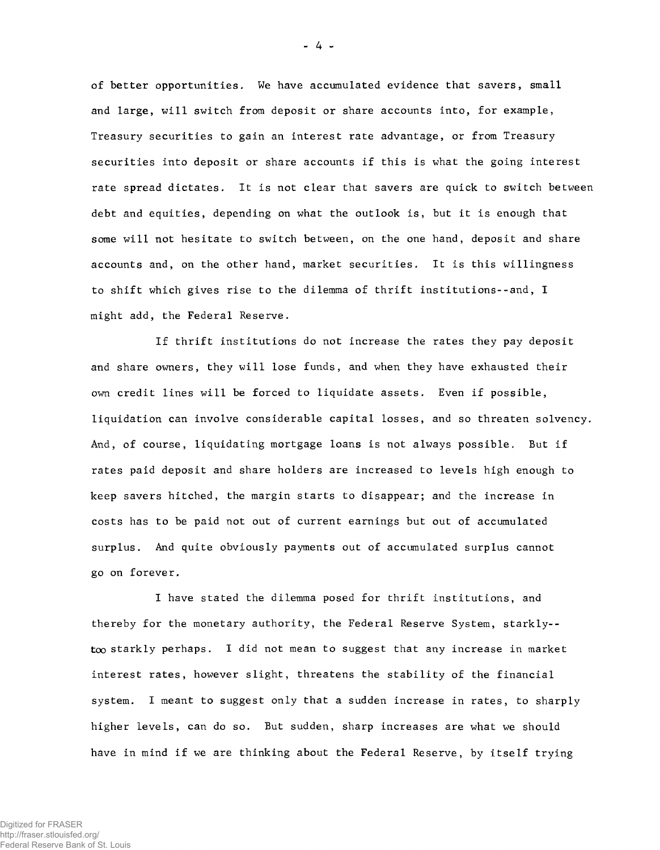of better opportunities. We have accumulated evidence that savers, small and large, will switch from deposit or share accounts into, for example, Treasury securities to gain an interest rate advantage, or from Treasury securities into deposit or share accounts if this is what the going interest rate spread dictates. It is not clear that savers are quick to switch between debt and equities, depending on what the outlook is, but it is enough that some will not hesitate to switch between, on the one hand, deposit and share accounts and, on the other hand, market securities. It is this willingness to shift which gives rise to the dilemma of thrift institutions--and, I m ight add, the Federal Reserve.

If thrift institutions do not increase the rates they pay deposit and share owners, they will lose funds, and when they have exhausted their own credit lines will be forced to liquidate assets. Even if possible, liquidation can involve considerable capital losses, and so threaten solvency. And, of course, liquidating mortgage loans is not always possible. But if rates paid deposit and share holders are increased to levels high enough to keep savers hitched, the margin starts to disappear; and the increase in costs has to be paid not out of current earnings but out of accumulated surplus. And quite obviously payments out of accumulated surplus cannot go on forever.

I have stated the dilemma posed for thrift institutions, and thereby for the monetary authority, the Federal Reserve System, starkly-too starkly perhaps. I did not mean to suggest that any increase in market interest rates, however slight, threatens the stability of the financial system. I meant to suggest only that a sudden increase in rates, to sharply higher levels, can do so. But sudden, sharp increases are what we should have in mind if we are thinking about the Federal Reserve, by itself trying

- 4 -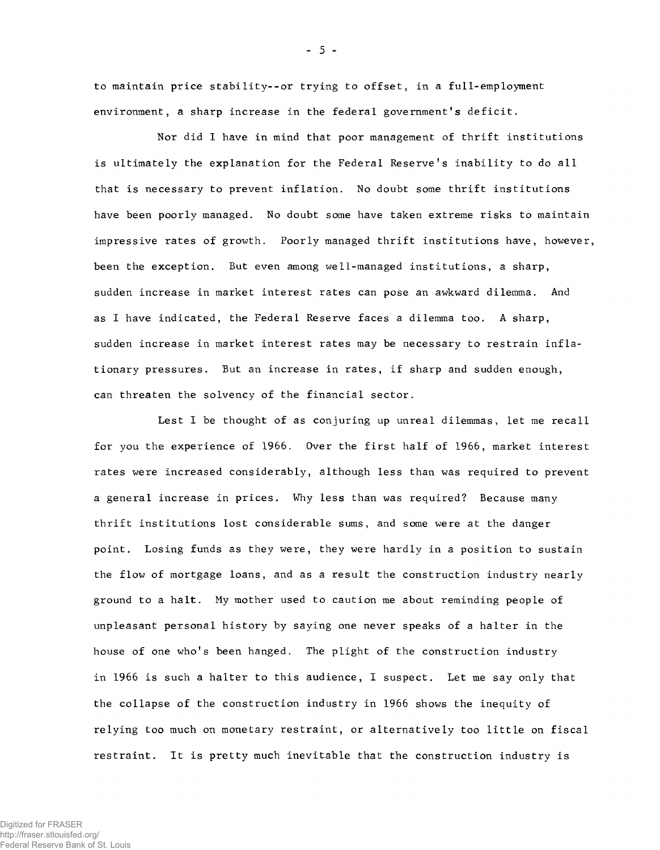to maintain price stability--or trying to offset, in a full-employment environment, a sharp increase in the federal government's deficit.

Nor did I have in mind that poor management of thrift institutions is ultimately the explanation for the Federal Reserve's inability to do all that is necessary to prevent inflation. No doubt some thrift institutions have been poorly managed. No doubt some have taken extreme risks to maintain impressive rates of growth. Poorly managed thrift institutions have, however, been the exception. But even among well-managed institutions, a sharp, sudden increase in market interest rates can pose an awkward dilemma. And as I have indicated, the Federal Reserve faces a dilemma too. A sharp, sudden increase in market interest rates may be necessary to restrain inflationary pressures. But an increase in rates, if sharp and sudden enough, can threaten the solvency of the financial sector.

Lest I be thought of as conjuring up unreal dilemmas, let me recall for you the experience of 1966. Over the first half of 1966, market interest rates were increased considerably, although less than was required to prevent a general increase in prices. Why less than was required? Because many thrift institutions lost considerable sums, and some were at the danger point. Losing funds as they were, they were hardly in a position to sustain the flow of mortgage loans, and as a result the construction industry nearly ground to a halt. My mother used to caution me about reminding people of unpleasant personal history by saying one never speaks of a halter in the house of one who's been hanged. The plight of the construction industry in 1966 is such a halter to this audience, I suspect. Let me say only that the collapse of the construction industry in 1966 shows the inequity of relying too much on monetary restraint, or alternatively too little on fiscal restraint. It is pretty much inevitable that the construction industry is

- 5 -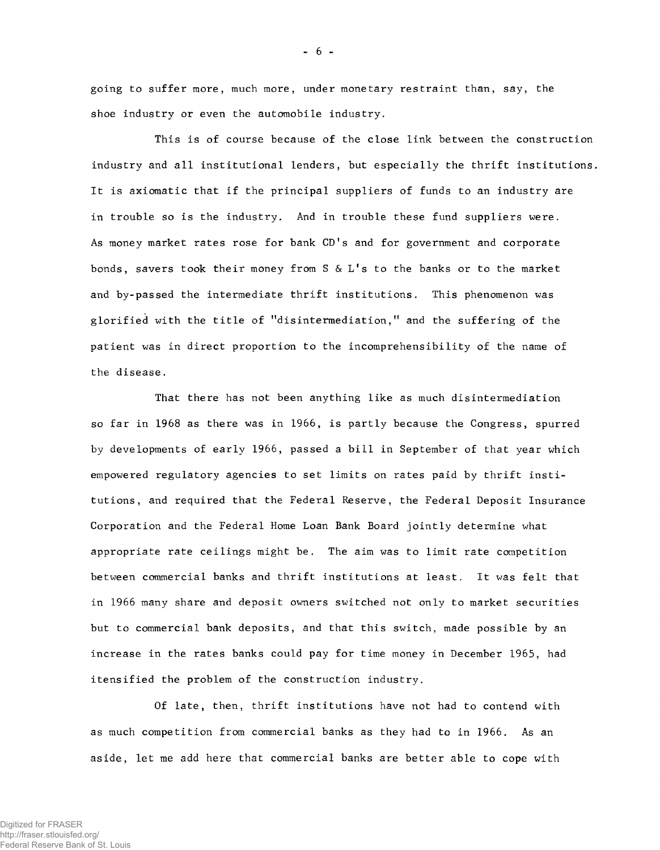going to suffer more, much more, under monetary restraint than, say, the shoe industry or even the automobile industry.

This is of course because of the close link between the construction industry and all institutional lenders, but especially the thrift institutions. It is axiomatic that if the principal suppliers of funds to an industry are in trouble so is the industry. And in trouble these fund suppliers were. As money market rates rose for bank CD's and for government and corporate bonds, savers took their money from S  $\&$  L's to the banks or to the market and by-passed the intermediate thrift institutions. This phenomenon was glorified with the title of "disintermediation," and the suffering of the patient was in direct proportion to the incomprehensibility of the name of the disease.

That there has not been anything like as much disintermediation so far in 1968 as there was in 1966, is partly because the Congress, spurred by developments of early 1966, passed a bill in September of that year which empowered regulatory agencies to set limits on rates paid by thrift institutions, and required that the Federal Reserve, the Federal Deposit Insurance Corporation and the Federal Home Loan Bank Board jointly determine what appropriate rate ceilings might be. The aim was to limit rate competition between commercial banks and thrift institutions at least. It was felt that in 1966 many share and deposit owners switched not only to market securities but to commercial bank deposits, and that this switch, made possible by an increase in the rates banks could pay for time money in December 1965, had itensified the problem of the construction industry.

Of late, then, thrift institutions have not had to contend with as much competition from commercial banks as they had to in 1966. As an aside, let me add here that commercial banks are better able to cope with

 $- 6 -$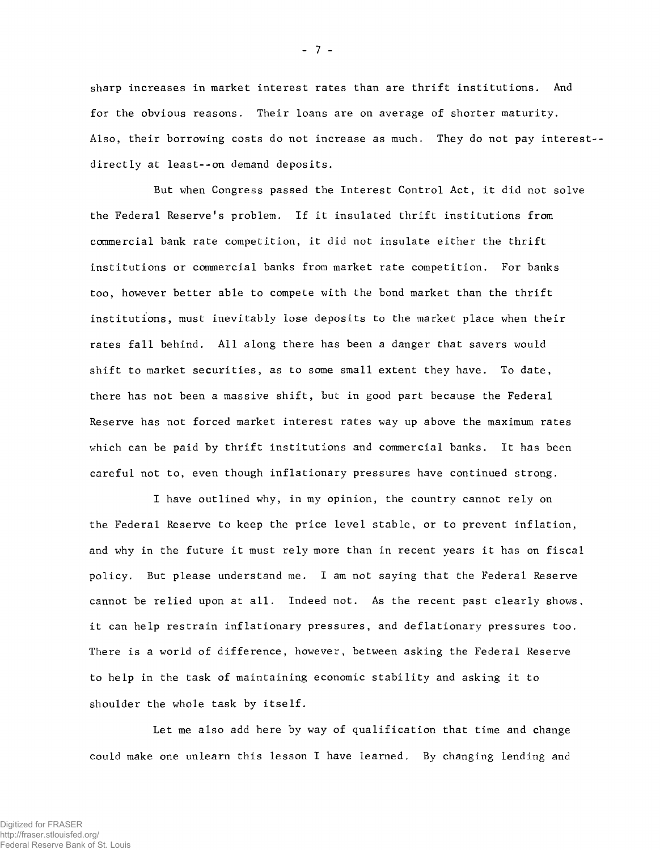sharp increases in market interest rates than are thrift institutions. And for the obvious reasons. Their loans are on average of shorter maturity. Also, their borrowing costs do not increase as much. They do not pay interest-directly at least--on demand deposits.

But when Congress passed the Interest Control Act, it did not solve the Federal Reserve\*s problem. If it insulated thrift institutions from commercial bank rate competition, it did not insulate either the thrift institutions or commercial banks from market rate competition. For banks too, however better able to compete with the bond market than the thrift institutions, must inevitably lose deposits to the market place when their rates fall behind. All along there has been a danger that savers would shift to market securities, as to some small extent they have. To date, there has not been a massive shift, but in good part because the Federal Reserve has not forced market interest rates way up above the maximum rates which can be paid by thrift institutions and commercial banks. It has been careful not to, even though inflationary pressures have continued strong.

I have outlined why, in my opinion, the country cannot rely on the Federal Reserve to keep the price level stable, or to prevent inflation, and why in the future it must rely more than in recent years it has on fiscal policy. But please understand me. I am not saying that the Federal Reserve cannot be relied upon at all. Indeed not. As the recent past clearly shows, it can help restrain inflationary pressures, and deflationary pressures too. There is a world of difference, however, between asking the Federal Reserve to help in the task of maintaining economic stability and asking it to shoulder the whole task by itself.

Let me also add here by way of qualification that time and change could make one unlearn this lesson I have learned. By changing lending and

 $-7 -$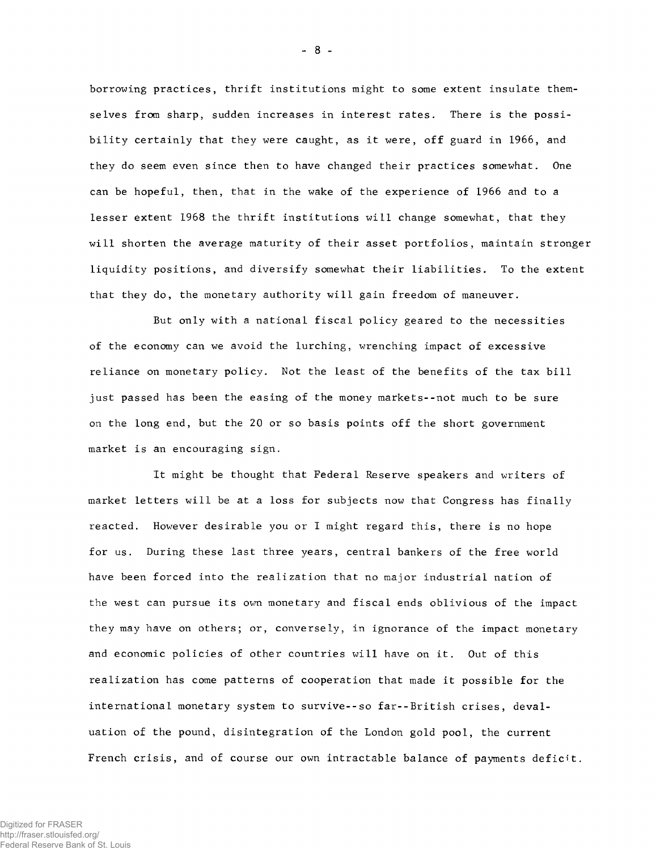borrowing practices, thrift institutions might to some extent insulate themselves from sharp, sudden increases in interest rates. There is the possibility certainly that they were caught, as it were, off guard in 1966, and they do seem even since then to have changed their practices somewhat. One can be hopeful, then, that in the wake of the experience of 1966 and to a lesser extent 1968 the thrift institutions will change somewhat, that they will shorten the average maturity of their asset portfolios, maintain stronger liquidity positions, and diversify somewhat their liabilities. To the extent that they do, the monetary authority will gain freedom of maneuver.

But only with a national fiscal policy geared to the necessities of the economy can we avoid the lurching, wrenching impact of excessive reliance on monetary policy. Not the least of the benefits of the tax bill just passed has been the easing of the money markets--not much to be sure on the long end, but the 20 or so basis points off the short government market is an encouraging sign.

It might be thought that Federal Reserve speakers and writers of market letters will be at a loss for subjects now that Congress has finally reacted. However desirable you or I might regard this, there is no hope for us. During these last three years, central bankers of the free world have been forced into the realization that no major industrial nation of the west can pursue its own monetary and fiscal ends oblivious of the impact they may have on others; or, conversely, in ignorance of the impact monetary and economic policies of other countries will have on it. Out of this realization has come patterns of cooperation that made it possible for the international monetary system to survive--so far--British crises, devaluation of the pound, disintegration of the London gold pool, the current French crisis, and of course our own intractable balance of payments deficit.

- 8 -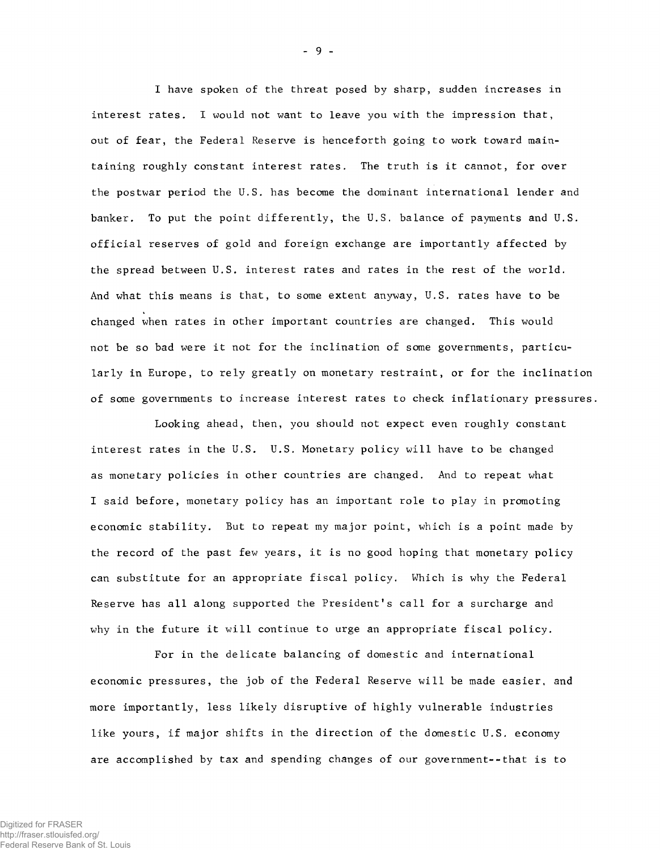I have spoken of the threat posed by sharp, sudden increases in interest rates. I would not want to leave you with the impression that, out of fear, the Federal Reserve is henceforth going to work toward maintaining roughly constant interest rates. The truth is it cannot, for over the postwar period the U.S. has become the dominant international lender and banker. To put the point differently, the U.S. balance of payments and U.S. official reserves of gold and foreign exchange are importantly affected by the spread between U.S. interest rates and rates in the rest of the world. And what this means is that, to some extent *anyway,* U.S. rates have to be changed when rates in other important countries are changed. This would not be so bad were it not for the inclination of some governments, particularly in Europe, to rely greatly on monetary restraint, or for the inclination of some governments to increase interest rates to check inflationary pressures.

Looking ahead, then, you should not expect even roughly constant interest rates in the U.S. U.S. Monetary policy will have to be changed as monetary policies in other countries are changed. And to repeat what I said before, monetary policy has an important role to play in promoting economic stability. But to repeat my major point, which is a point made by the record of the past few years, it is no good hoping that monetary policy can substitute for an appropriate fiscal policy. Which is why the Federal Reserve has all along supported the President's call for a surcharge and why in the future it will continue to urge an appropriate fiscal policy.

For in the delicate balancing of domestic and international economic pressures, the job of the Federal Reserve will be made easier, and more importantly, less likely disruptive of highly vulnerable industries like yours, if major shifts in the direction of the domestic U.S. economy are accomplished by tax and spending changes of our government--that is to

- 9 -